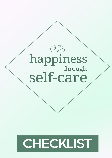

# CHECKLIST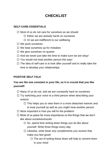# **CHECKLIST**

## **SELF-CARE ESSENTIALS**

- $\Box$  Most of us do not care for ourselves as we should
	- $\Box$  Either we are actively harsh on ourselves
	- $\Box$  Or we are indifferent to our wellbeing
- $\Box$  We push ourselves
- $\Box$  We beat ourselves up for mistakes
- $\Box$  We give ourselves no quarter
- $\Box$  And we never just take the time to make sure we are okay!
- $\Box$  You would not treat another person this way!
- $\Box$  The idea of self-care is to look after yourself and to really take the time to develop your relationships

#### **POSITIVE SELF-TALK**

# **You are the one constant in your life, so it is crucial that you like yourself!**

- $\Box$  Many of us do not, and we are constantly hard on ourselves
- $\Box$  Try switching your voice to a third person when describing your actions
	- $\Box$  This helps you to view them in a more detached manner and to treat yourself as well as you might treat another person
- $\Box$  More important is how you will fix the problem!
- $\Box$  Most of us place far more importance on the things that we don't like about ourselves/insults
	- $\square$  So, spend time writing down things you do like about yourself. Write three things every day.
	- $\Box$  Likewise, write down any complements you receive that make you feel good!
		- $\Box$  The act of writing these down will help to cement them in your mind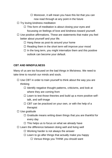- $\Box$  Moreover, it will mean you have this list that you can now read through at any point in the future
- $\Box$  Try loving kindness meditation
	- $\Box$  This form of meditation is about closing your eyes and focussing on feelings of love and kindness toward yourself.
- $\Box$  Use positive affirmations. These are statements that make you feel better about yourself and your life.
	- $\Box$  Hang these as post-its around your home
	- $\Box$  Reading them in the short term will improve your mood
	- $\Box$  In the long term, you might internalize them and this positive outlook can become your default.

# **CBT AND MINDFULNESS**

Many of us are too focused on the bad things in life/stress. We need to take time to nourish our minds and souls.

- $\Box$  Use CBT in order to train yourself to think about the way you are thinking
	- $\Box$  Identify negative thought patterns, criticisms, and look at where they are coming from
	- $\square$  Learn to test those theories and build up a more positive selftalk, and self-image
	- $\Box$  CBT can be practiced on your own, or with the help of a therapist
- $\square$  Use gratitude
	- $\Box$  Gratitude means writing down things that you are thankful for every day
	- $\Box$  This helps us to focus on what we already have
- $\Box$  Learn the difference between doing well and living well
	- $\Box$  Working harder is not always the answer
	- $\Box$  Learn to go after things that actually make you happy
		- $\Box$  Versus things you THINK you should want